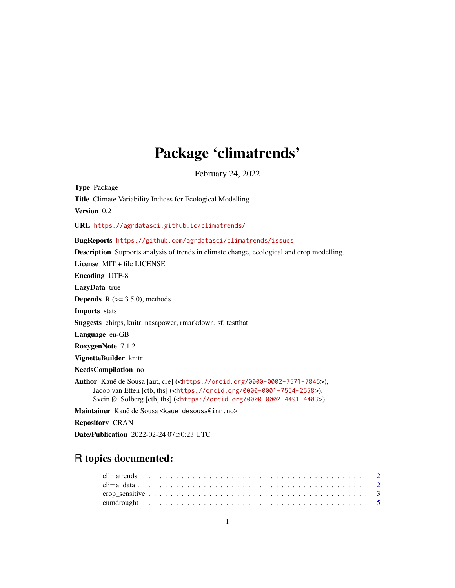# Package 'climatrends'

February 24, 2022

Type Package Title Climate Variability Indices for Ecological Modelling Version 0.2 URL <https://agrdatasci.github.io/climatrends/> BugReports <https://github.com/agrdatasci/climatrends/issues> Description Supports analysis of trends in climate change, ecological and crop modelling. License MIT + file LICENSE Encoding UTF-8 LazyData true **Depends**  $R$  ( $>= 3.5.0$ ), methods Imports stats Suggests chirps, knitr, nasapower, rmarkdown, sf, testthat Language en-GB RoxygenNote 7.1.2 VignetteBuilder knitr NeedsCompilation no Author Kauê de Sousa [aut, cre] (<<https://orcid.org/0000-0002-7571-7845>>), Jacob van Etten [ctb, ths] (<<https://orcid.org/0000-0001-7554-2558>>), Svein Ø. Solberg [ctb, ths] (<<https://orcid.org/0000-0002-4491-4483>>) Maintainer Kauê de Sousa <kaue.desousa@inn.no> Repository CRAN

Date/Publication 2022-02-24 07:50:23 UTC

# R topics documented: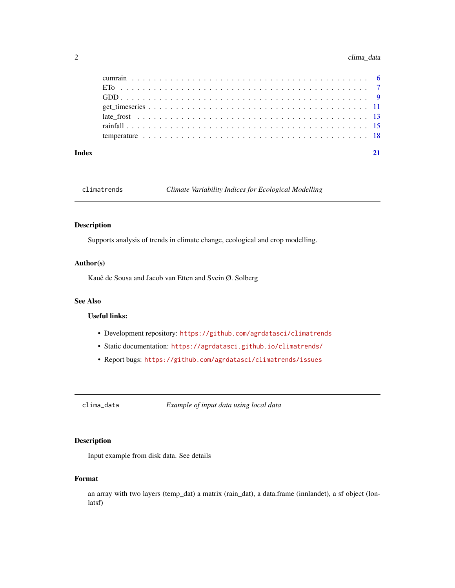#### <span id="page-1-0"></span>2 clima\_data

| Index |  |  |  |  |  |  |  |  |  |  |  |  |  |  |  |  |  |  |
|-------|--|--|--|--|--|--|--|--|--|--|--|--|--|--|--|--|--|--|

climatrends *Climate Variability Indices for Ecological Modelling*

#### Description

Supports analysis of trends in climate change, ecological and crop modelling.

#### Author(s)

Kauê de Sousa and Jacob van Etten and Svein Ø. Solberg

#### See Also

#### Useful links:

- Development repository: <https://github.com/agrdatasci/climatrends>
- Static documentation: <https://agrdatasci.github.io/climatrends/>
- Report bugs: <https://github.com/agrdatasci/climatrends/issues>

clima\_data *Example of input data using local data*

#### Description

Input example from disk data. See details

#### Format

an array with two layers (temp\_dat) a matrix (rain\_dat), a data.frame (innlandet), a sf object (lonlatsf)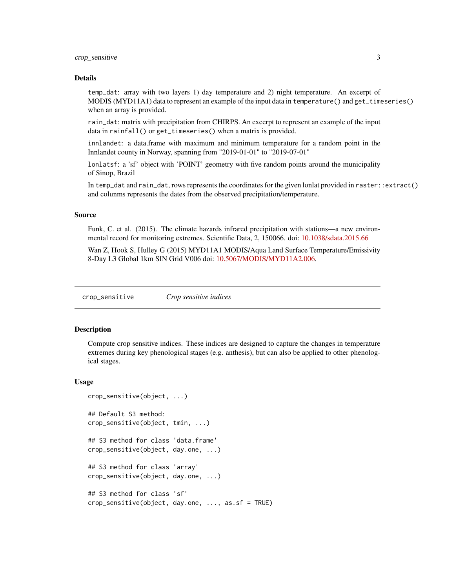#### <span id="page-2-0"></span>crop\_sensitive 3

#### Details

temp\_dat: array with two layers 1) day temperature and 2) night temperature. An excerpt of MODIS (MYD11A1) data to represent an example of the input data in temperature() and get\_timeseries() when an array is provided.

rain\_dat: matrix with precipitation from CHIRPS. An excerpt to represent an example of the input data in rainfall() or get\_timeseries() when a matrix is provided.

innlandet: a data.frame with maximum and minimum temperature for a random point in the Innlandet county in Norway, spanning from "2019-01-01" to "2019-07-01"

lonlatsf: a 'sf' object with 'POINT' geometry with five random points around the municipality of Sinop, Brazil

In temp\_dat and rain\_dat, rows represents the coordinates for the given lonlat provided in raster::extract() and colunms represents the dates from the observed precipitation/temperature.

#### Source

Funk, C. et al. (2015). The climate hazards infrared precipitation with stations—a new environmental record for monitoring extremes. Scientific Data, 2, 150066. doi: [10.1038/sdata.2015.66](https://doi.org/10.1038/sdata.2015.66)

Wan Z, Hook S, Hulley G (2015) MYD11A1 MODIS/Aqua Land Surface Temperature/Emissivity 8-Day L3 Global 1km SIN Grid V006 doi: [10.5067/MODIS/MYD11A2.006.](https://doi.org/10.5067/MODIS/MYD11A2.006)

<span id="page-2-1"></span>crop\_sensitive *Crop sensitive indices*

#### Description

Compute crop sensitive indices. These indices are designed to capture the changes in temperature extremes during key phenological stages (e.g. anthesis), but can also be applied to other phenological stages.

#### Usage

```
crop_sensitive(object, ...)
## Default S3 method:
crop_sensitive(object, tmin, ...)
## S3 method for class 'data.frame'
crop_sensitive(object, day.one, ...)
## S3 method for class 'array'
crop_sensitive(object, day.one, ...)
## S3 method for class 'sf'
crop_sensitive(object, day.one, ..., as.sf = TRUE)
```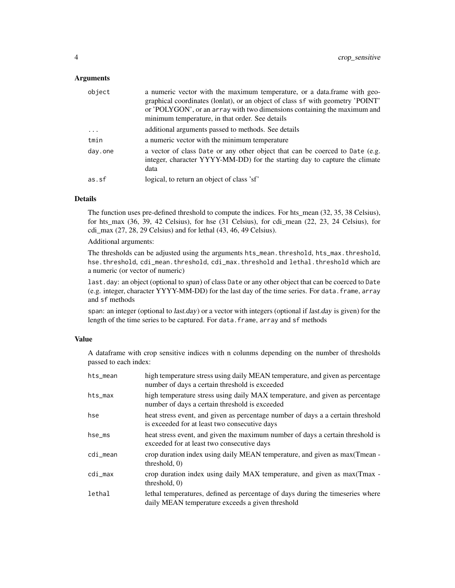#### **Arguments**

| object    | a numeric vector with the maximum temperature, or a data.frame with geo-<br>graphical coordinates (lonlat), or an object of class sf with geometry 'POINT'<br>or 'POLYGON', or an array with two dimensions containing the maximum and<br>minimum temperature, in that order. See details |
|-----------|-------------------------------------------------------------------------------------------------------------------------------------------------------------------------------------------------------------------------------------------------------------------------------------------|
| $\ddotsc$ | additional arguments passed to methods. See details                                                                                                                                                                                                                                       |
| tmin      | a numeric vector with the minimum temperature                                                                                                                                                                                                                                             |
| day.one   | a vector of class Date or any other object that can be coerced to Date (e.g.<br>integer, character YYYY-MM-DD) for the starting day to capture the climate<br>data                                                                                                                        |
| as.sf     | logical, to return an object of class 'sf'                                                                                                                                                                                                                                                |

#### Details

The function uses pre-defined threshold to compute the indices. For hts\_mean (32, 35, 38 Celsius), for hts\_max (36, 39, 42 Celsius), for hse (31 Celsius), for cdi\_mean (22, 23, 24 Celsius), for cdi\_max (27, 28, 29 Celsius) and for lethal (43, 46, 49 Celsius).

Additional arguments:

The thresholds can be adjusted using the arguments hts\_mean.threshold, hts\_max.threshold, hse.threshold, cdi\_mean.threshold, cdi\_max.threshold and lethal.threshold which are a numeric (or vector of numeric)

last.day: an object (optional to span) of class Date or any other object that can be coerced to Date (e.g. integer, character YYYY-MM-DD) for the last day of the time series. For data.frame, array and sf methods

span: an integer (optional to *last.day*) or a vector with integers (optional if *last.day* is given) for the length of the time series to be captured. For data. frame, array and sf methods

#### Value

A dataframe with crop sensitive indices with n colunms depending on the number of thresholds passed to each index:

| hts_mean | high temperature stress using daily MEAN temperature, and given as percentage<br>number of days a certain threshold is exceeded    |
|----------|------------------------------------------------------------------------------------------------------------------------------------|
| hts_max  | high temperature stress using daily MAX temperature, and given as percentage<br>number of days a certain threshold is exceeded     |
| hse      | heat stress event, and given as percentage number of days a a certain threshold<br>is exceeded for at least two consecutive days   |
| hse_ms   | heat stress event, and given the maximum number of days a certain threshold is<br>exceeded for at least two consecutive days       |
| cdi_mean | crop duration index using daily MEAN temperature, and given as max (Tmean -<br>threshold, $0$ )                                    |
| cdi_max  | erop duration index using daily MAX temperature, and given as max(Tmax -<br>threshold, $0$ )                                       |
| lethal   | lethal temperatures, defined as percentage of days during the timeseries where<br>daily MEAN temperature exceeds a given threshold |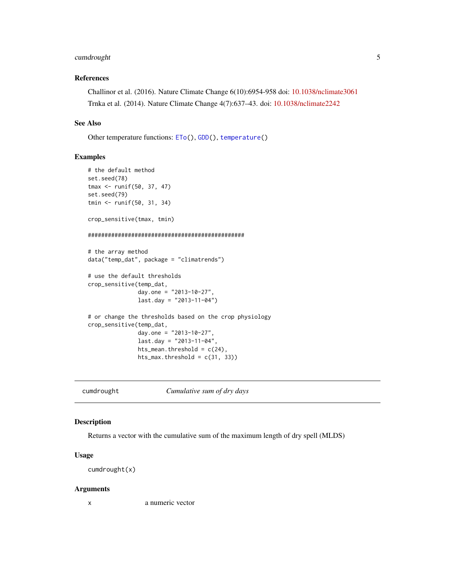#### <span id="page-4-0"></span>cumdrought 5

#### References

Challinor et al. (2016). Nature Climate Change 6(10):6954-958 doi: [10.1038/nclimate3061](https://doi.org/10.1038/nclimate3061) Trnka et al. (2014). Nature Climate Change 4(7):637–43. doi: [10.1038/nclimate2242](https://doi.org/10.1038/nclimate2242)

#### See Also

Other temperature functions: [ETo\(](#page-6-1)), [GDD\(](#page-8-1)), [temperature\(](#page-17-1))

#### Examples

```
# the default method
set.seed(78)
tmax <- runif(50, 37, 47)
set.seed(79)
tmin <- runif(50, 31, 34)
crop_sensitive(tmax, tmin)
###############################################
# the array method
data("temp_dat", package = "climatrends")
# use the default thresholds
crop_sensitive(temp_dat,
               day.one = "2013-10-27",
               last.day = "2013-11-04")# or change the thresholds based on the crop physiology
crop_sensitive(temp_dat,
               day.one = "2013-10-27",
               last.day = "2013-11-04",
               hts_mean.threshold = c(24),
               hts_max.threshold = c(31, 33))
```
cumdrought *Cumulative sum of dry days*

#### Description

Returns a vector with the cumulative sum of the maximum length of dry spell (MLDS)

#### Usage

cumdrought(x)

#### Arguments

x a numeric vector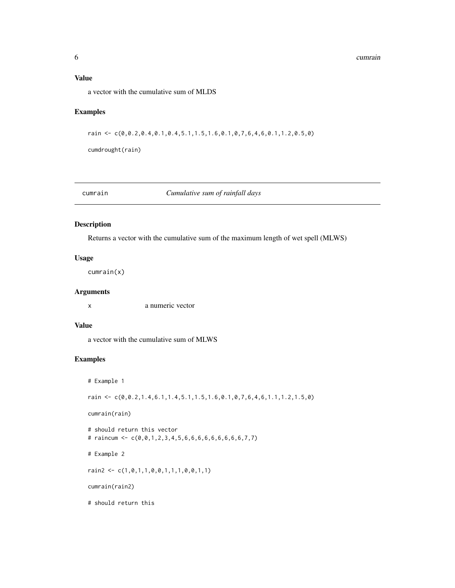#### <span id="page-5-0"></span>Value

a vector with the cumulative sum of MLDS

#### Examples

rain <- c(0,0.2,0.4,0.1,0.4,5.1,1.5,1.6,0.1,0,7,6,4,6,0.1,1.2,0.5,0)

cumdrought(rain)

cumrain *Cumulative sum of rainfall days*

#### Description

Returns a vector with the cumulative sum of the maximum length of wet spell (MLWS)

#### Usage

cumrain(x)

#### Arguments

x a numeric vector

#### Value

a vector with the cumulative sum of MLWS

#### Examples

```
# Example 1
rain <- c(0,0.2,1.4,6.1,1.4,5.1,1.5,1.6,0.1,0,7,6,4,6,1.1,1.2,1.5,0)
cumrain(rain)
# should return this vector
# raincum <- c(0,0,1,2,3,4,5,6,6,6,6,6,6,6,6,6,7,7)
# Example 2
rain2 <- c(1,0,1,1,0,0,1,1,1,0,0,1,1)
cumrain(rain2)
# should return this
```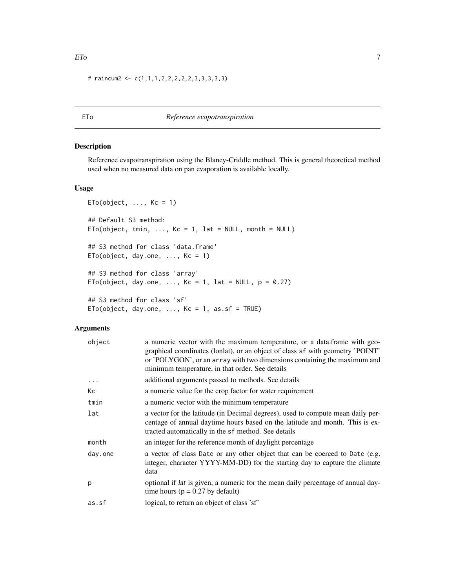<span id="page-6-0"></span># raincum2 <-  $c(1,1,1,2,2,2,2,2,3,3,3,3,3)$ 

#### <span id="page-6-1"></span>ETo *Reference evapotranspiration*

#### Description

Reference evapotranspiration using the Blaney-Criddle method. This is general theoretical method used when no measured data on pan evaporation is available locally.

#### Usage

```
ETo(object, ..., Kc = 1)## Default S3 method:
ETo(object, tmin, ..., Kc = 1, lat = NULL, month = NULL)
## S3 method for class 'data.frame'
ETo(object, day.one, \ldots, Kc = 1)
## S3 method for class 'array'
ETo(object, day.one, ..., Kc = 1, lat = NULL, p = 0.27)
## S3 method for class 'sf'
ETo(object, day.one, \ldots, Kc = 1, as.sf = TRUE)
```
#### Arguments

| object  | a numeric vector with the maximum temperature, or a data.frame with geo-<br>graphical coordinates (lonlat), or an object of class sf with geometry 'POINT'<br>or 'POLYGON', or an array with two dimensions containing the maximum and<br>minimum temperature, in that order. See details |
|---------|-------------------------------------------------------------------------------------------------------------------------------------------------------------------------------------------------------------------------------------------------------------------------------------------|
|         | additional arguments passed to methods. See details                                                                                                                                                                                                                                       |
| Кc      | a numeric value for the crop factor for water requirement                                                                                                                                                                                                                                 |
| tmin    | a numeric vector with the minimum temperature                                                                                                                                                                                                                                             |
| lat     | a vector for the latitude (in Decimal degrees), used to compute mean daily per-<br>centage of annual daytime hours based on the latitude and month. This is ex-<br>tracted automatically in the sf method. See details                                                                    |
| month   | an integer for the reference month of daylight percentage                                                                                                                                                                                                                                 |
| day.one | a vector of class Date or any other object that can be coerced to Date (e.g.<br>integer, character YYYY-MM-DD) for the starting day to capture the climate<br>data                                                                                                                        |
| р       | optional if <i>lat</i> is given, a numeric for the mean daily percentage of annual day-<br>time hours ( $p = 0.27$ by default)                                                                                                                                                            |
| as.sf   | logical, to return an object of class 'sf'                                                                                                                                                                                                                                                |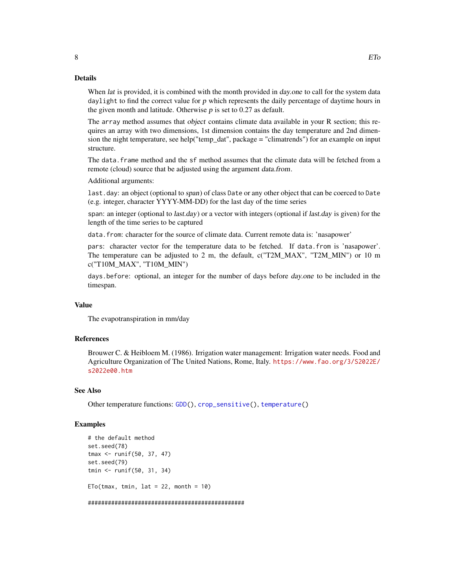#### <span id="page-7-0"></span>Details

When *lat* is provided, it is combined with the month provided in *day, one* to call for the system data daylight to find the correct value for  $p$  which represents the daily percentage of daytime hours in the given month and latitude. Otherwise  $p$  is set to 0.27 as default.

The array method assumes that object contains climate data available in your R section; this requires an array with two dimensions, 1st dimension contains the day temperature and 2nd dimension the night temperature, see help("temp\_dat", package = "climatrends") for an example on input structure.

The data.frame method and the sf method assumes that the climate data will be fetched from a remote (cloud) source that be adjusted using the argument data.from.

Additional arguments:

last.day: an object (optional to span) of class Date or any other object that can be coerced to Date (e.g. integer, character YYYY-MM-DD) for the last day of the time series

span: an integer (optional to *last.day*) or a vector with integers (optional if *last.day* is given) for the length of the time series to be captured

data.from: character for the source of climate data. Current remote data is: 'nasapower'

pars: character vector for the temperature data to be fetched. If data.from is 'nasapower'. The temperature can be adjusted to 2 m, the default, c("T2M\_MAX", "T2M\_MIN") or 10 m c("T10M\_MAX", "T10M\_MIN")

days.before: optional, an integer for the number of days before day.one to be included in the timespan.

#### Value

The evapotranspiration in mm/day

#### References

Brouwer C. & Heibloem M. (1986). Irrigation water management: Irrigation water needs. Food and Agriculture Organization of The United Nations, Rome, Italy. [https://www.fao.org/3/S2022E/](https://www.fao.org/3/S2022E/s2022e00.htm) [s2022e00.htm](https://www.fao.org/3/S2022E/s2022e00.htm)

#### See Also

Other temperature functions: [GDD\(](#page-8-1)), [crop\\_sensitive\(](#page-2-1)), [temperature\(](#page-17-1))

#### Examples

```
# the default method
set.seed(78)
tmax <- runif(50, 37, 47)
set.seed(79)
tmin <- runif(50, 31, 34)
ETo(tmax, tmin, lat = 22, month = 10)
```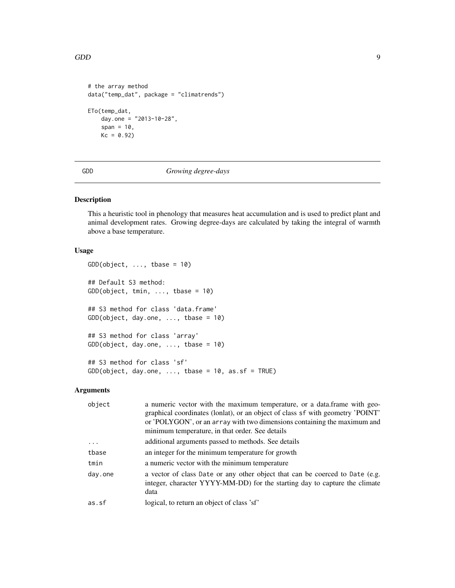```
# the array method
data("temp_dat", package = "climatrends")
ETo(temp_dat,
   day.one = "2013-10-28",
   span = 10,
   Kc = 0.92
```
<span id="page-8-1"></span>GDD *Growing degree-days*

#### Description

This a heuristic tool in phenology that measures heat accumulation and is used to predict plant and animal development rates. Growing degree-days are calculated by taking the integral of warmth above a base temperature.

#### Usage

```
GDD(object, ..., thus = 10)## Default S3 method:
GDD(object, tmin, ..., tbase = 10)
## S3 method for class 'data.frame'
GDD(object, day.one, ..., tbase = 10)
## S3 method for class 'array'
GDD(object, day.one, \ldots, tbase = 10)
## S3 method for class 'sf'
GDD(object, day.one, ..., tbase = 10, as.sf = TRUE)
```
#### Arguments

| object  | a numeric vector with the maximum temperature, or a data.frame with geo-<br>graphical coordinates (lonlat), or an object of class sf with geometry 'POINT'<br>or 'POLYGON', or an array with two dimensions containing the maximum and<br>minimum temperature, in that order. See details |
|---------|-------------------------------------------------------------------------------------------------------------------------------------------------------------------------------------------------------------------------------------------------------------------------------------------|
| .       | additional arguments passed to methods. See details                                                                                                                                                                                                                                       |
| tbase   | an integer for the minimum temperature for growth                                                                                                                                                                                                                                         |
| tmin    | a numeric vector with the minimum temperature                                                                                                                                                                                                                                             |
| day.one | a vector of class Date or any other object that can be coerced to Date (e.g.<br>integer, character YYYY-MM-DD) for the starting day to capture the climate<br>data                                                                                                                        |
| as.sf   | logical, to return an object of class 'sf'                                                                                                                                                                                                                                                |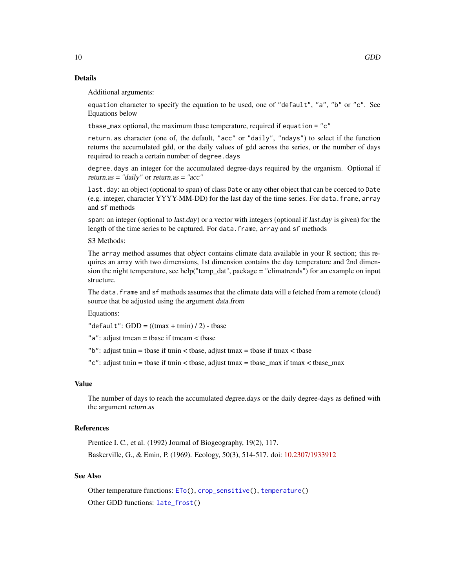#### Details

Additional arguments:

equation character to specify the equation to be used, one of "default", "a", "b" or "c". See Equations below

tbase\_max optional, the maximum tbase temperature, required if equation = "c"

return.as character (one of, the default, "acc" or "daily", "ndays") to select if the function returns the accumulated gdd, or the daily values of gdd across the series, or the number of days required to reach a certain number of degree.days

degree.days an integer for the accumulated degree-days required by the organism. Optional if return.as = "daily" or return.as = "acc"

last.day: an object (optional to span) of class Date or any other object that can be coerced to Date (e.g. integer, character YYYY-MM-DD) for the last day of the time series. For data.frame, array and sf methods

span: an integer (optional to *last.day*) or a vector with integers (optional if *last.day* is given) for the length of the time series to be captured. For data. frame, array and sf methods

S3 Methods:

The array method assumes that object contains climate data available in your R section; this requires an array with two dimensions, 1st dimension contains the day temperature and 2nd dimension the night temperature, see help("temp\_dat", package = "climatrends") for an example on input structure.

The data. frame and sf methods assumes that the climate data will e fetched from a remote (cloud) source that be adjusted using the argument data.from

Equations:

"default":  $GDD = ((tmax + tmin) / 2)$  - tbase

"a": adjust tmean = tbase if tmeam < tbase

"b": adjust tmin = tbase if tmin < tbase, adjust tmax = tbase if tmax < tbase

"c": adjust tmin = tbase if tmin < tbase, adjust tmax = tbase\_max if tmax < tbase\_max

#### Value

The number of days to reach the accumulated degree.days or the daily degree-days as defined with the argument return.as

#### References

Prentice I. C., et al. (1992) Journal of Biogeography, 19(2), 117. Baskerville, G., & Emin, P. (1969). Ecology, 50(3), 514-517. doi: [10.2307/1933912](https://doi.org/10.2307/1933912)

#### See Also

Other temperature functions: [ETo\(](#page-6-1)), [crop\\_sensitive\(](#page-2-1)), [temperature\(](#page-17-1)) Other GDD functions: [late\\_frost\(](#page-12-1))

<span id="page-9-0"></span>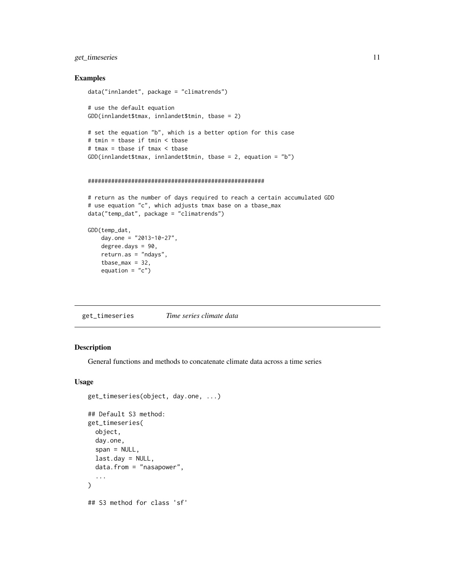#### <span id="page-10-0"></span>get\_timeseries 11

#### Examples

```
data("innlandet", package = "climatrends")
# use the default equation
GDD(innlandet$tmax, innlandet$tmin, tbase = 2)
# set the equation "b", which is a better option for this case
# tmin = tbase if tmin < tbase
# tmax = tbase if tmax < tbase
GDD(innlandet$tmax, innlandet$tmin, tbase = 2, equation = "b")
```

```
#####################################################
```

```
# return as the number of days required to reach a certain accumulated GDD
# use equation "c", which adjusts tmax base on a tbase_max
data("temp_dat", package = "climatrends")
```

```
GDD(temp_dat,
   day.one = "2013-10-27",
   degree.days = 90,
   return.as = "ndays",
   tbase_max = 32,
   equation = "c")
```
get\_timeseries *Time series climate data*

#### Description

General functions and methods to concatenate climate data across a time series

#### Usage

```
get_timeseries(object, day.one, ...)
## Default S3 method:
get_timeseries(
  object,
  day.one,
  span = NULL,
  last.day = NULL,data.from = "nasapower",
  ...
)
## S3 method for class 'sf'
```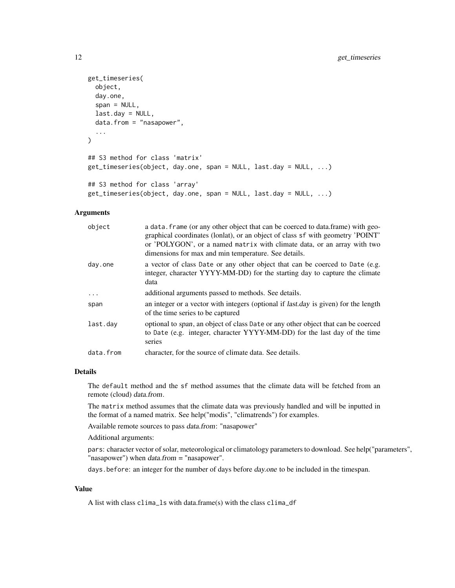```
get_timeseries(
 object,
  day.one,
  span = NULL,last.day = NULL,
  data.from = "nasapower",
  ...
)
## S3 method for class 'matrix'
get_timeseries(object, day.one, span = NULL, last.day = NULL, ...)
## S3 method for class 'array'
get_timeseries(object, day.one, span = NULL, last.day = NULL, ...)
```
#### Arguments

| object    | a data. frame (or any other object that can be coerced to data. frame) with geo-<br>graphical coordinates (lonlat), or an object of class sf with geometry 'POINT'<br>or 'POLYGON', or a named matrix with climate data, or an array with two<br>dimensions for max and min temperature. See details. |
|-----------|-------------------------------------------------------------------------------------------------------------------------------------------------------------------------------------------------------------------------------------------------------------------------------------------------------|
| day.one   | a vector of class Date or any other object that can be coerced to Date (e.g.<br>integer, character YYYY-MM-DD) for the starting day to capture the climate<br>data                                                                                                                                    |
| .         | additional arguments passed to methods. See details.                                                                                                                                                                                                                                                  |
| span      | an integer or a vector with integers (optional if <i>last.day</i> is given) for the length<br>of the time series to be captured                                                                                                                                                                       |
| last.day  | optional to span, an object of class Date or any other object that can be coerced<br>to Date (e.g. integer, character YYYY-MM-DD) for the last day of the time<br>series                                                                                                                              |
| data.from | character, for the source of climate data. See details.                                                                                                                                                                                                                                               |

#### Details

The default method and the sf method assumes that the climate data will be fetched from an remote (cloud) data.from.

The matrix method assumes that the climate data was previously handled and will be inputted in the format of a named matrix. See help("modis", "climatrends") for examples.

Available remote sources to pass data.from: "nasapower"

Additional arguments:

pars: character vector of solar, meteorological or climatology parameters to download. See help("parameters", "nasapower") when *data.from* = "nasapower".

days.before: an integer for the number of days before day.one to be included in the timespan.

#### Value

A list with class clima\_ls with data.frame(s) with the class clima\_df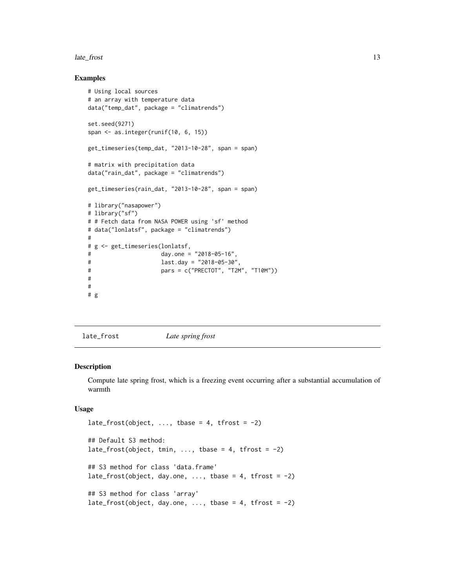#### <span id="page-12-0"></span>late\_frost 13

#### Examples

```
# Using local sources
# an array with temperature data
data("temp_dat", package = "climatrends")
set.seed(9271)
span <- as.integer(runif(10, 6, 15))
get_timeseries(temp_dat, "2013-10-28", span = span)
# matrix with precipitation data
data("rain_dat", package = "climatrends")
get_timeseries(rain_dat, "2013-10-28", span = span)
# library("nasapower")
# library("sf")
# # Fetch data from NASA POWER using 'sf' method
# data("lonlatsf", package = "climatrends")
#
# g <- get_timeseries(lonlatsf,
# day.one = "2018-05-16",
# last.day = "2018-05-30",
# pars = c("PRECTOT", "T2M", "T10M"))
#
#
# g
```
<span id="page-12-1"></span>late\_frost *Late spring frost*

## Description

Compute late spring frost, which is a freezing event occurring after a substantial accumulation of warmth

#### Usage

```
late_frost(object, ..., those = 4, tfront = -2)## Default S3 method:
late_frost(object, tmin, ..., tbase = 4, tfrost = -2)
## S3 method for class 'data.frame'
late_frost(object, day.one, ..., tbase = 4, tfrost = -2)
## S3 method for class 'array'
late_frost(object, day.one, \ldots, tbase = 4, tfrost = -2)
```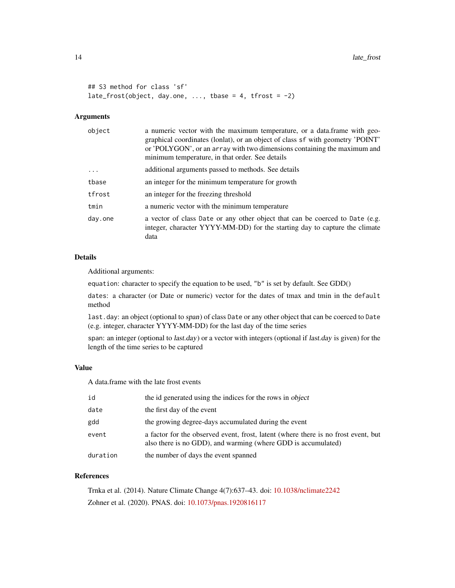```
## S3 method for class 'sf'
late_frost(object, day.one, ..., tbase = 4, tfrost = -2)
```
#### Arguments

| object  | a numeric vector with the maximum temperature, or a data.frame with geo-<br>graphical coordinates (lonlat), or an object of class sf with geometry 'POINT'<br>or 'POLYGON', or an array with two dimensions containing the maximum and<br>minimum temperature, in that order. See details |
|---------|-------------------------------------------------------------------------------------------------------------------------------------------------------------------------------------------------------------------------------------------------------------------------------------------|
| $\cdot$ | additional arguments passed to methods. See details                                                                                                                                                                                                                                       |
| tbase   | an integer for the minimum temperature for growth                                                                                                                                                                                                                                         |
| tfrost  | an integer for the freezing threshold                                                                                                                                                                                                                                                     |
| tmin    | a numeric vector with the minimum temperature                                                                                                                                                                                                                                             |
| day.one | a vector of class Date or any other object that can be coerced to Date (e.g.<br>integer, character YYYY-MM-DD) for the starting day to capture the climate<br>data                                                                                                                        |

#### Details

Additional arguments:

equation: character to specify the equation to be used, "b" is set by default. See GDD()

dates: a character (or Date or numeric) vector for the dates of tmax and tmin in the default method

last.day: an object (optional to span) of class Date or any other object that can be coerced to Date (e.g. integer, character YYYY-MM-DD) for the last day of the time series

span: an integer (optional to last.day) or a vector with integers (optional if last.day is given) for the length of the time series to be captured

### Value

A data.frame with the late frost events

| id       | the id generated using the indices for the rows in object                                                                                           |
|----------|-----------------------------------------------------------------------------------------------------------------------------------------------------|
| date     | the first day of the event                                                                                                                          |
| gdd      | the growing degree-days accumulated during the event                                                                                                |
| event    | a factor for the observed event, frost, latent (where there is no frost event, but<br>also there is no GDD), and warming (where GDD is accumulated) |
| duration | the number of days the event spanned                                                                                                                |

#### References

Trnka et al. (2014). Nature Climate Change 4(7):637–43. doi: [10.1038/nclimate2242](https://doi.org/10.1038/nclimate2242) Zohner et al. (2020). PNAS. doi: [10.1073/pnas.1920816117](https://doi.org/10.1073/pnas.1920816117)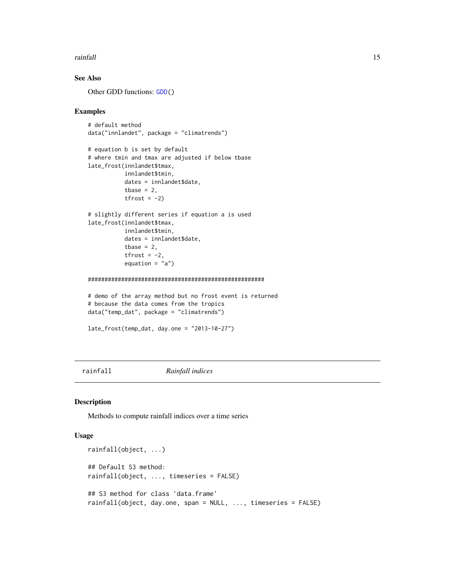#### <span id="page-14-0"></span>rainfall that the contract of the contract of the contract of the contract of the contract of the contract of the contract of the contract of the contract of the contract of the contract of the contract of the contract of

#### See Also

Other GDD functions: [GDD\(](#page-8-1))

#### Examples

```
# default method
data("innlandet", package = "climatrends")
# equation b is set by default
# where tmin and tmax are adjusted if below tbase
late_frost(innlandet$tmax,
           innlandet$tmin,
           dates = innlandet$date,
           tbase = 2,
           tfrost = -2)
```

```
# slightly different series if equation a is used
late_frost(innlandet$tmax,
           innlandet$tmin,
           dates = innlandet$date,
           tbase = 2,
           tfrost = -2,
           equation = "a")
```
#### #####################################################

```
# demo of the array method but no frost event is returned
# because the data comes from the tropics
data("temp_dat", package = "climatrends")
```

```
late_frost(temp_dat, day.one = "2013-10-27")
```
rainfall *Rainfall indices*

#### Description

Methods to compute rainfall indices over a time series

#### Usage

```
rainfall(object, ...)
## Default S3 method:
rainfall(object, ..., timeseries = FALSE)
## S3 method for class 'data.frame'
rainfall(object, day.one, span = NULL, ..., timeseries = FALSE)
```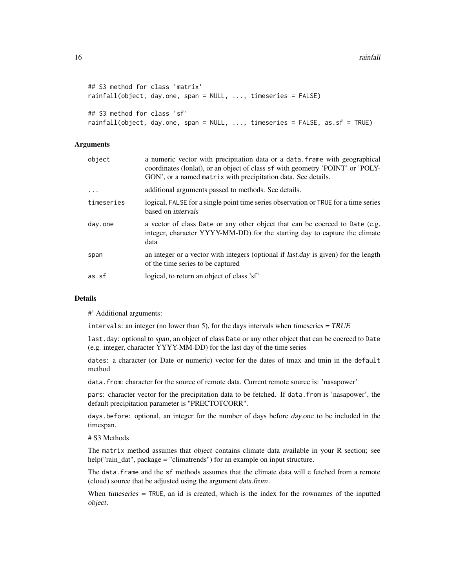```
## S3 method for class 'matrix'
rainfall(object, day.one, span = NULL, ..., timeseries = FALSE)
## S3 method for class 'sf'
rainfall(object, day.one, span = NULL, ..., timeseries = FALSE, as.sf = TRUE)
```
#### Arguments

| object     | a numeric vector with precipitation data or a data. frame with geographical<br>coordinates (lonlat), or an object of class sf with geometry 'POINT' or 'POLY-<br>GON', or a named matrix with precipitation data. See details. |
|------------|--------------------------------------------------------------------------------------------------------------------------------------------------------------------------------------------------------------------------------|
| $\ddots$   | additional arguments passed to methods. See details.                                                                                                                                                                           |
| timeseries | logical, FALSE for a single point time series observation or TRUE for a time series<br>based on <i>intervals</i>                                                                                                               |
| day.one    | a vector of class Date or any other object that can be coerced to Date (e.g.<br>integer, character YYYY-MM-DD) for the starting day to capture the climate<br>data                                                             |
| span       | an integer or a vector with integers (optional if <i>last.day</i> is given) for the length<br>of the time series to be captured                                                                                                |
| as.sf      | logical, to return an object of class 'sf'                                                                                                                                                                                     |

#### Details

#' Additional arguments:

intervals: an integer (no lower than 5), for the days intervals when timeseries =  $TRUE$ 

last.day: optional to span, an object of class Date or any other object that can be coerced to Date (e.g. integer, character YYYY-MM-DD) for the last day of the time series

dates: a character (or Date or numeric) vector for the dates of tmax and tmin in the default method

data. from: character for the source of remote data. Current remote source is: 'nasapower'

pars: character vector for the precipitation data to be fetched. If data.from is 'nasapower', the default precipitation parameter is "PRECTOTCORR".

days.before: optional, an integer for the number of days before day.one to be included in the timespan.

# S3 Methods

The matrix method assumes that *object* contains climate data available in your R section; see help("rain\_dat", package = "climatrends") for an example on input structure.

The data. frame and the sf methods assumes that the climate data will e fetched from a remote (cloud) source that be adjusted using the argument data.from.

When timeseries = TRUE, an id is created, which is the index for the rownames of the inputted object.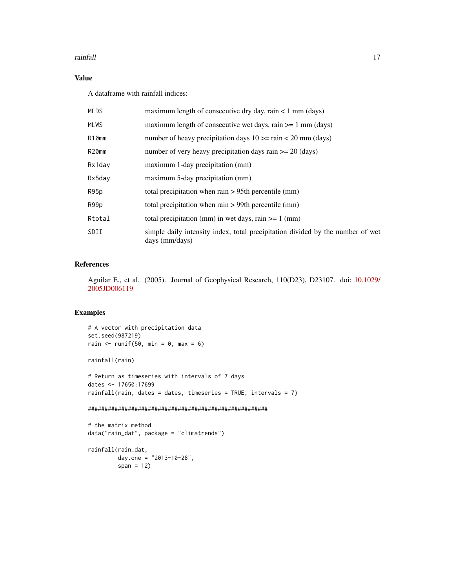#### rainfall 17

#### Value

A dataframe with rainfall indices:

| <b>MLDS</b> | maximum length of consecutive dry day, rain $\lt 1$ mm (days)                                    |
|-------------|--------------------------------------------------------------------------------------------------|
| <b>MLWS</b> | maximum length of consecutive wet days, rain $\geq 1$ mm (days)                                  |
| R10mm       | number of heavy precipitation days $10 \ge \pi$ rain < 20 mm (days)                              |
| R20mm       | number of very heavy precipitation days rain $\geq$ 20 (days)                                    |
| Rx1day      | maximum 1-day precipitation (mm)                                                                 |
| Rx5day      | maximum 5-day precipitation (mm)                                                                 |
| R95p        | total precipitation when rain $> 95$ th percentile (mm)                                          |
| R99p        | total precipitation when rain $> 99$ th percentile (mm)                                          |
| Rtotal      | total precipitation (mm) in wet days, rain $>= 1$ (mm)                                           |
| SDII        | simple daily intensity index, total precipitation divided by the number of wet<br>days (mm/days) |

#### References

Aguilar E., et al. (2005). Journal of Geophysical Research, 110(D23), D23107. doi: [10.1029/](https://doi.org/10.1029/2005JD006119) [2005JD006119](https://doi.org/10.1029/2005JD006119)

#### Examples

```
# A vector with precipitation data
set.seed(987219)
rain \le runif(50, min = 0, max = 6)
```
rainfall(rain)

# Return as timeseries with intervals of 7 days dates <- 17650:17699 rainfall(rain, dates = dates, timeseries = TRUE, intervals =  $7$ )

#### ######################################################

```
# the matrix method
data("rain_dat", package = "climatrends")
```

```
rainfall(rain_dat,
        day.one = "2013-10-28",
        span = 12)
```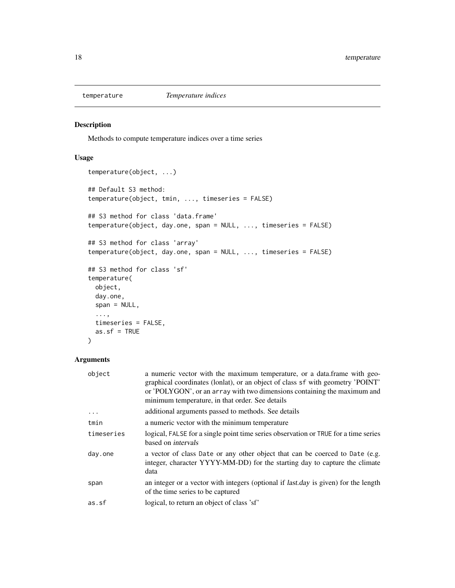<span id="page-17-1"></span><span id="page-17-0"></span>

#### Description

Methods to compute temperature indices over a time series

#### Usage

```
temperature(object, ...)
## Default S3 method:
temperature(object, tmin, ..., timeseries = FALSE)
## S3 method for class 'data.frame'
temperature(object, day.one, span = NULL, ..., timeseries = FALSE)
## S3 method for class 'array'
temperature(object, day.one, span = NULL, ..., timeseries = FALSE)
## S3 method for class 'sf'
temperature(
 object,
 day.one,
 span = NULL,...,
 timeseries = FALSE,
 as.sf = TRUE)
```
### Arguments

| object     | a numeric vector with the maximum temperature, or a data.frame with geo-<br>graphical coordinates (lonlat), or an object of class sf with geometry 'POINT'<br>or 'POLYGON', or an array with two dimensions containing the maximum and<br>minimum temperature, in that order. See details |
|------------|-------------------------------------------------------------------------------------------------------------------------------------------------------------------------------------------------------------------------------------------------------------------------------------------|
| $\ddots$   | additional arguments passed to methods. See details                                                                                                                                                                                                                                       |
| tmin       | a numeric vector with the minimum temperature                                                                                                                                                                                                                                             |
| timeseries | logical, FALSE for a single point time series observation or TRUE for a time series<br>based on <i>intervals</i>                                                                                                                                                                          |
| day.one    | a vector of class Date or any other object that can be coerced to Date (e.g.<br>integer, character YYYY-MM-DD) for the starting day to capture the climate<br>data                                                                                                                        |
| span       | an integer or a vector with integers (optional if <i>last.day</i> is given) for the length<br>of the time series to be captured                                                                                                                                                           |
| as.sf      | logical, to return an object of class 'sf'                                                                                                                                                                                                                                                |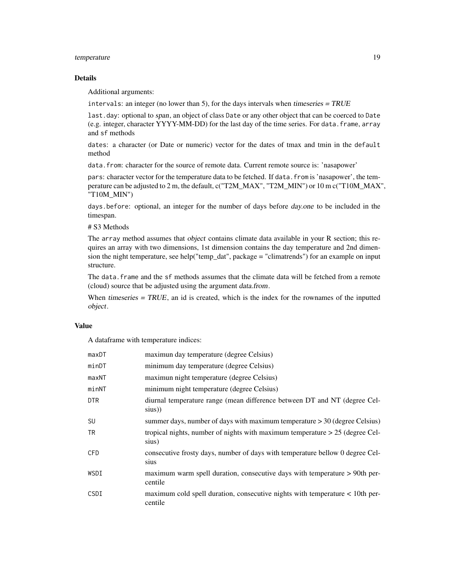#### temperature 19

#### Details

Additional arguments:

intervals: an integer (no lower than 5), for the days intervals when timeseries  $= TRUE$ 

last.day: optional to span, an object of class Date or any other object that can be coerced to Date (e.g. integer, character YYYY-MM-DD) for the last day of the time series. For data.frame, array and sf methods

dates: a character (or Date or numeric) vector for the dates of tmax and tmin in the default method

data.from: character for the source of remote data. Current remote source is: 'nasapower'

pars: character vector for the temperature data to be fetched. If data.from is 'nasapower', the temperature can be adjusted to 2 m, the default, c("T2M\_MAX", "T2M\_MIN") or 10 m c("T10M\_MAX", "T10M\_MIN")

days.before: optional, an integer for the number of days before day.one to be included in the timespan.

# S3 Methods

The array method assumes that *object* contains climate data available in your R section; this requires an array with two dimensions, 1st dimension contains the day temperature and 2nd dimension the night temperature, see help("temp\_dat", package = "climatrends") for an example on input structure.

The data.frame and the sf methods assumes that the climate data will be fetched from a remote (cloud) source that be adjusted using the argument data.from.

When *timeseries*  $= TRUE$ , an id is created, which is the index for the rownames of the inputted object.

#### Value

A dataframe with temperature indices:

| maxDT      | maximun day temperature (degree Celsius)                                                |
|------------|-----------------------------------------------------------------------------------------|
| minDT      | minimum day temperature (degree Celsius)                                                |
| maxNT      | maximun night temperature (degree Celsius)                                              |
| minNT      | minimum night temperature (degree Celsius)                                              |
| DTR        | diurnal temperature range (mean difference between DT and NT (degree Cel-<br>sius))     |
| <b>SU</b>  | summer days, number of days with maximum temperature $>$ 30 (degree Celsius)            |
| <b>TR</b>  | tropical nights, number of nights with maximum temperature $> 25$ (degree Cel-<br>sius) |
| <b>CFD</b> | consecutive frosty days, number of days with temperature bellow 0 degree Cel-<br>sius   |
| WSDI       | maximum warm spell duration, consecutive days with temperature > 90th per-<br>centile   |
| CSDI       | maximum cold spell duration, consecutive nights with temperature < 10th per-<br>centile |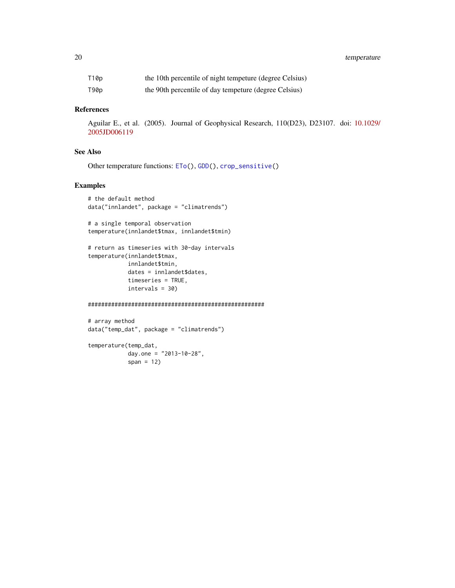<span id="page-19-0"></span>20 temperature

| T10p | the 10th percentile of night tempeture (degree Celsius) |
|------|---------------------------------------------------------|
| T90p | the 90th percentile of day tempeture (degree Celsius)   |

#### References

Aguilar E., et al. (2005). Journal of Geophysical Research, 110(D23), D23107. doi: [10.1029/](https://doi.org/10.1029/2005JD006119) [2005JD006119](https://doi.org/10.1029/2005JD006119)

#### See Also

```
Other temperature functions: ETo(), GDD(), crop_sensitive()
```
#### Examples

```
# the default method
data("innlandet", package = "climatrends")
```

```
# a single temporal observation
temperature(innlandet$tmax, innlandet$tmin)
```

```
# return as timeseries with 30-day intervals
temperature(innlandet$tmax,
           innlandet$tmin,
            dates = innlandet$dates,
           timeseries = TRUE,
           intervals = 30)
```
#### #####################################################

```
# array method
data("temp_dat", package = "climatrends")
```

```
temperature(temp_dat,
           day.one = "2013-10-28",
            span = 12)
```